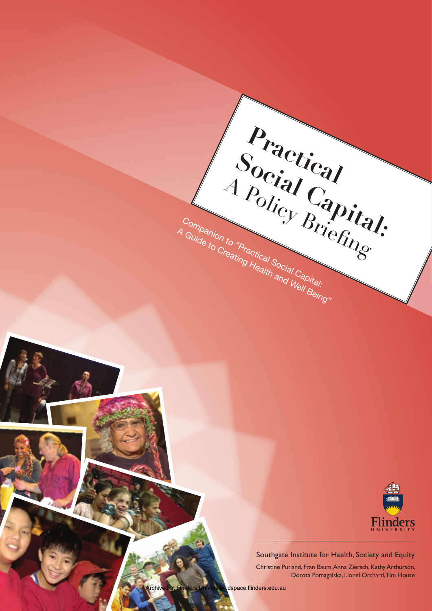

Southgate Institute for Health, Society and Equity

**Practical** 

A Policy Gapita

Companion to "Practical Social Capital: A Guide to Creating Health and Well Being"

Social Capital:<br>
Policy Brief dl:<br> **Social Capital:** 

Christine Putland, Fran Baum, Anna Ziersch, Kathy Arthurson, Dorota Pomagalska, Lionel Orchard, Tim House

Archived at Flinders University: dspace.flinders.edu.au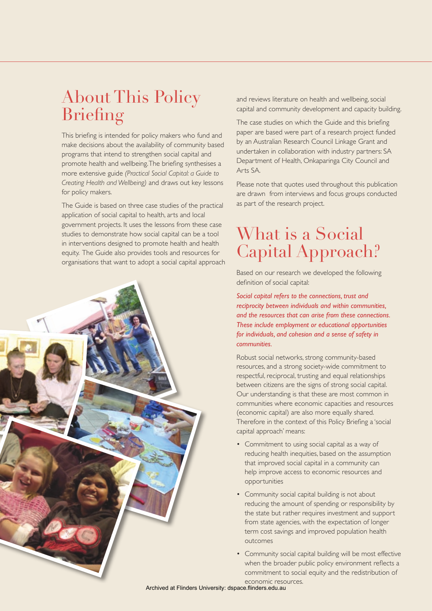# About This Policy Briefing

This briefing is intended for policy makers who fund and make decisions about the availability of community based programs that intend to strengthen social capital and promote health and wellbeing. The briefing synthesises a more extensive guide *(Practical Social Capital: a Guide to Creating Health and Wellbeing)* and draws out key lessons for policy makers.

The Guide is based on three case studies of the practical application of social capital to health, arts and local government projects. It uses the lessons from these case studies to demonstrate how social capital can be a tool in interventions designed to promote health and health equity. The Guide also provides tools and resources for organisations that want to adopt a social capital approach



and reviews literature on health and wellbeing, social capital and community development and capacity building.

The case studies on which the Guide and this briefing paper are based were part of a research project funded by an Australian Research Council Linkage Grant and undertaken in collaboration with industry partners: SA Department of Health, Onkaparinga City Council and Arts SA.

Please note that quotes used throughout this publication are drawn from interviews and focus groups conducted as part of the research project.

## What is a Social Capital Approach?

Based on our research we developed the following definition of social capital:

*Social capital refers to the connections, trust and reciprocity between individuals and within communities, and the resources that can arise from these connections. These include employment or educational opportunities for individuals, and cohesion and a sense of safety in communities.*

Robust social networks, strong community-based resources, and a strong society-wide commitment to respectful, reciprocal, trusting and equal relationships between citizens are the signs of strong social capital. Our understanding is that these are most common in communities where economic capacities and resources (economic capital) are also more equally shared. Therefore in the context of this Policy Briefing a 'social capital approach' means:

- Commitment to using social capital as a way of reducing health inequities, based on the assumption that improved social capital in a community can help improve access to economic resources and opportunities
- Community social capital building is not about reducing the amount of spending or responsibility by the state but rather requires investment and support from state agencies, with the expectation of longer term cost savings and improved population health outcomes
- Community social capital building will be most effective when the broader public policy environment reflects a commitment to social equity and the redistribution of economic resources.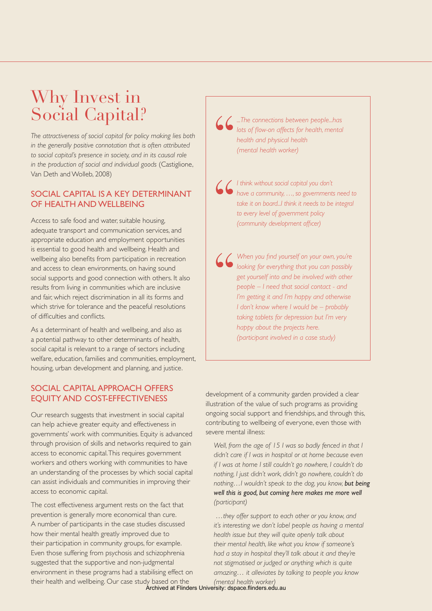# Why Invest in Social Capital?

*The attractiveness of social capital for policy making lies both in the generally positive connotation that is often attributed to social capital's presence in society, and in its causal role in the production of social and individual goods* (Castiglione, Van Deth and Wolleb, 2008)

### Social capital is a key determinant OF HEALTH AND WELL BEING

Access to safe food and water, suitable housing, adequate transport and communication services, and appropriate education and employment opportunities is essential to good health and wellbeing. Health and wellbeing also benefits from participation in recreation and access to clean environments, on having sound social supports and good connection with others. It also results from living in communities which are inclusive and fair, which reject discrimination in all its forms and which strive for tolerance and the peaceful resolutions of difficulties and conflicts.

As a determinant of health and wellbeing, and also as a potential pathway to other determinants of health, social capital is relevant to a range of sectors including welfare, education, families and communities, employment, housing, urban development and planning, and justice.

### SOCIAL CAPITAL APPROACH OFFERS equity and cost-effectiveness

Our research suggests that investment in social capital can help achieve greater equity and effectiveness in governments' work with communities. Equity is advanced through provision of skills and networks required to gain access to economic capital. This requires government workers and others working with communities to have an understanding of the processes by which social capital can assist individuals and communities in improving their access to economic capital.

The cost effectiveness argument rests on the fact that prevention is generally more economical than cure. A number of participants in the case studies discussed how their mental health greatly improved due to their participation in community groups, for example. Even those suffering from psychosis and schizophrenia suggested that the supportive and non-judgmental environment in these programs had a stabilising effect on their health and wellbeing. Our case study based on the

*...The connections between people...has lots of flow-on affects for health, mental health and physical health (mental health worker)*

*I think without social capital you don't have a community, …, so governments need to take it on board...I think it needs to be integral to every level of government policy (community development officer)*

*When you find yourself on your own, you're looking for everything that you can possibly get yourself into and be involved with other people – I need that social contact - and I'm getting it and I'm happy and otherwise I don't know where I would be – probably taking tablets for depression but I'm very happy about the projects here. (participant involved in a case study)*

development of a community garden provided a clear illustration of the value of such programs as providing ongoing social support and friendships, and through this, contributing to wellbeing of everyone, even those with severe mental illness:

*Well, from the age of 15 I was so badly fenced in that I didn't care if I was in hospital or at home because even if I was at home I still couldn't go nowhere, I couldn't do nothing, I just didn't work, didn't go nowhere, couldn't do nothing…I wouldn't speak to the dog, you know, but being well this is good, but coming here makes me more well (participant)*

 *…they offer support to each other or you know, and it's interesting we don't label people as having a mental health issue but they will quite openly talk about their mental health, like what you know if someone's had a stay in hospital they'll talk about it and they're not stigmatised or judged or anything which is quite amazing… it alleviates by talking to people you know*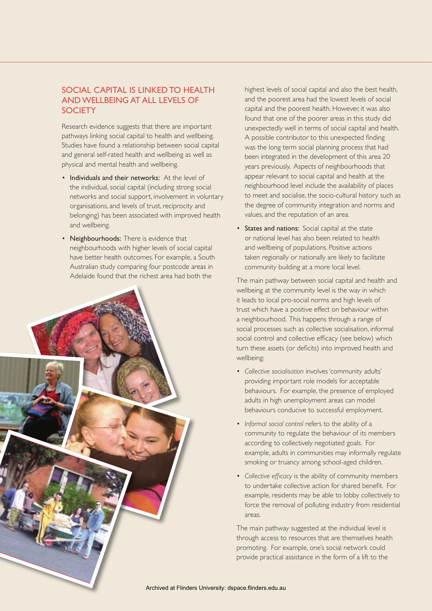#### SOCIAL CAPITAL IS LINKED TO HEALTH and wellbeing at all levels of **SOCIFTY**

Research evidence suggests that there are important pathways linking social capital to health and wellbeing. Studies have found a relationship between social capital and general self-rated health and wellbeing as well as physical and mental health and wellbeing.

- Individuals and their networks: At the level of the individual, social capital (including strong social networks and social support, involvement in voluntary organisations, and levels of trust, reciprocity and belonging) has been associated with improved health and wellbeing.
- Neighbourhoods: There is evidence that neighbourhoods with higher levels of social capital have better health outcomes. For example, a South Australian study comparing four postcode areas in Adelaide found that the richest area had both the



highest levels of social capital and also the best health, and the poorest area had the lowest levels of social capital and the poorest health. However, it was also found that one of the poorer areas in this study did unexpectedly well in terms of social capital and health. A possible contributor to this unexpected finding was the long term social planning process that had been integrated in the development of this area 20 years previously. Aspects of neighbourhoods that appear relevant to social capital and health at the neighbourhood level include the availability of places to meet and socialise, the socio-cultural history such as the degree of community integration and norms and values, and the reputation of an area.

• States and nations: Social capital at the state or national level has also been related to health and wellbeing of populations. Positive actions taken regionally or nationally are likely to facilitate community building at a more local level.

The main pathway between social capital and health and wellbeing at the community level is the way in which it leads to local pro-social norms and high levels of trust which have a positive effect on behaviour within a neighbourhood. This happens through a range of social processes such as collective socialisation, informal social control and collective efficacy (see below) which turn these assets (or deficits) into improved health and wellbeing:

- • *Collective socialisation* involves 'community adults' providing important role models for acceptable behaviours. For example, the presence of employed adults in high unemployment areas can model behaviours conducive to successful employment.
- • *Informal social control* refers to the ability of a community to regulate the behaviour of its members according to collectively negotiated goals. For example, adults in communities may informally regulate smoking or truancy among school-aged children.
- • *Collective efficacy* is the ability of community members to undertake collective action for shared benefit. For example, residents may be able to lobby collectively to force the removal of polluting industry from residential areas.

The main pathway suggested at the individual level is through access to resources that are themselves health promoting. For example, one's social network could provide practical assistance in the form of a lift to the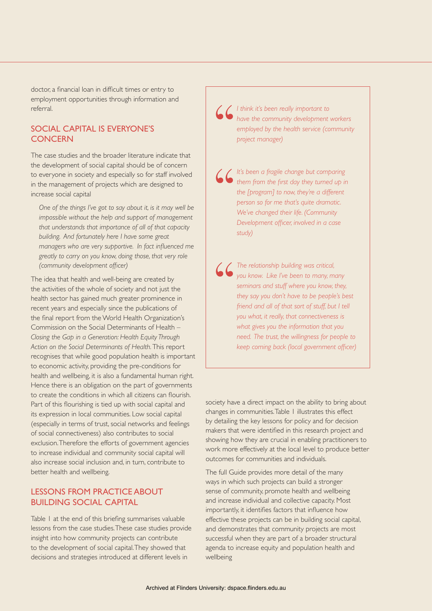doctor, a financial loan in difficult times or entry to employment opportunities through information and referral.

#### Social capital is everyone's **CONCERN**

The case studies and the broader literature indicate that the development of social capital should be of concern to everyone in society and especially so for staff involved in the management of projects which are designed to increase social capital

*One of the things I've got to say about it, is it may well be impossible without the help and support of management that understands that importance of all of that capacity building. And fortunately here I have some great managers who are very supportive. In fact influenced me greatly to carry on you know, doing those, that very role (community development officer)*

The idea that health and well-being are created by the activities of the whole of society and not just the health sector has gained much greater prominence in recent years and especially since the publications of the final report from the World Health Organization's Commission on the Social Determinants of Health – *Closing the Gap in a Generation: Health Equity Through Action on the Social Determinants of Health.* This report recognises that while good population health is important to economic activity, providing the pre-conditions for health and wellbeing, it is also a fundamental human right. Hence there is an obligation on the part of governments to create the conditions in which all citizens can flourish. Part of this flourishing is tied up with social capital and its expression in local communities. Low social capital (especially in terms of trust, social networks and feelings of social connectiveness) also contributes to social exclusion. Therefore the efforts of government agencies to increase individual and community social capital will also increase social inclusion and, in turn, contribute to better health and wellbeing.

#### Lessons from practice about building social capital

Table 1 at the end of this briefing summarises valuable lessons from the case studies. These case studies provide insight into how community projects can contribute to the development of social capital. They showed that decisions and strategies introduced at different levels in

*I think it's been really important to have the community development workers employed by the health service (community project manager)* 

*It's been a fragile change but comparing them from the first day they turned up in the [program] to now, they're a different person so for me that's quite dramatic. We've changed their life. (Community Development officer, involved in a case study)* 

*The relationship building was critical, you know. Like I've been to many, many seminars and stuff where you know, they, they say you don't have to be people's best friend and all of that sort of stuff, but I tell you what, it really, that connectiveness is what gives you the information that you need. The trust, the willingness for people to keep coming back (local government officer)* 

society have a direct impact on the ability to bring about changes in communities. Table 1 illustrates this effect by detailing the key lessons for policy and for decision makers that were identified in this research project and showing how they are crucial in enabling practitioners to work more effectively at the local level to produce better outcomes for communities and individuals.

The full Guide provides more detail of the many ways in which such projects can build a stronger sense of community, promote health and wellbeing and increase individual and collective capacity. Most importantly, it identifies factors that influence how effective these projects can be in building social capital, and demonstrates that community projects are most successful when they are part of a broader structural agenda to increase equity and population health and wellbeing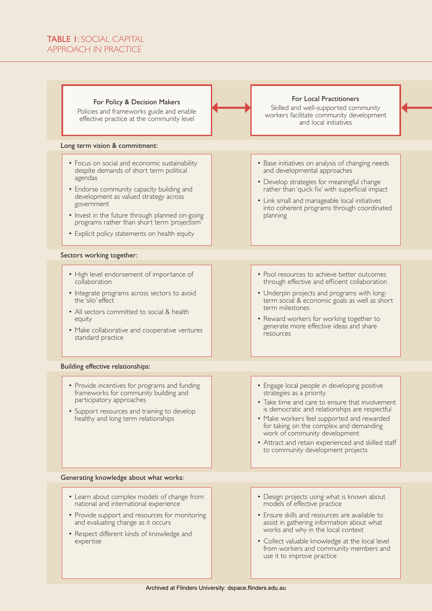#### TABLE 1: SOCIAL CAPITAL approach in practice

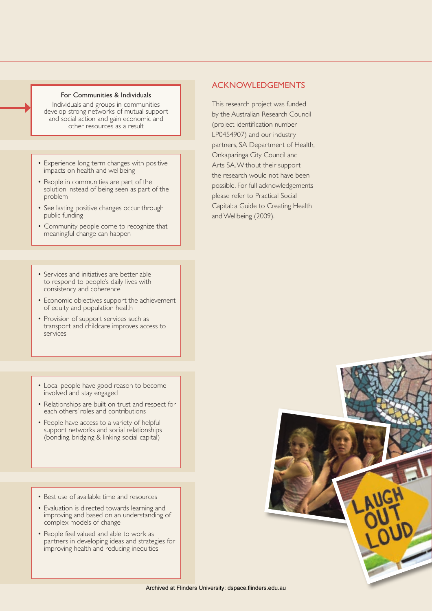#### For Communities & Individuals

Individuals and groups in communities develop strong networks of mutual support and social action and gain economic and other resources as a result

- Experience long term changes with positive impacts on health and wellbeing
- People in communities are part of the solution instead of being seen as part of the problem
- See lasting positive changes occur through public funding
- • Community people come to recognize that meaningful change can happen
- Services and initiatives are better able to respond to people's daily lives with consistency and coherence
- Economic objectives support the achievement of equity and population health
- Provision of support services such as transport and childcare improves access to services
- Local people have good reason to become involved and stay engaged
- Relationships are built on trust and respect for each others' roles and contributions
- People have access to a variety of helpful support networks and social relationships (bonding, bridging & linking social capital)
- Best use of available time and resources
- Evaluation is directed towards learning and improving and based on an understanding of complex models of change
- People feel valued and able to work as partners in developing ideas and strategies for improving health and reducing inequities

#### Acknowledgements

This research project was funded by the Australian Research Council (project identification number LP0454907) and our industry partners, SA Department of Health, Onkaparinga City Council and Arts SA. Without their support the research would not have been possible. For full acknowledgements please refer to Practical Social Capital: a Guide to Creating Health and Wellbeing (2009).